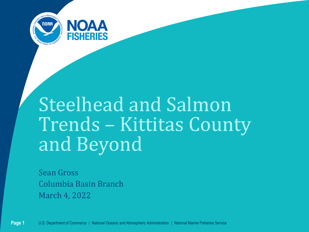

# Steelhead and Salmon Trends – Kittitas County and Beyond

Sean Gross Columbia Basin Branch March 4, 2022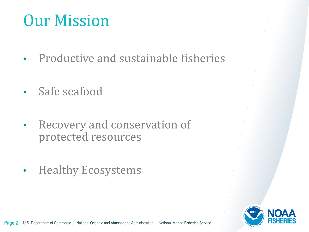### Our Mission

- Productive and sustainable fisheries
- Safe seafood
- Recovery and conservation of protected resources
- Healthy Ecosystems

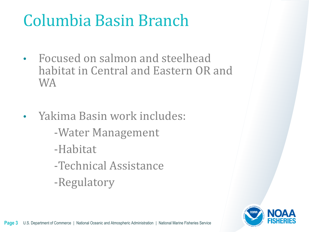## Columbia Basin Branch

- Focused on salmon and steelhead habitat in Central and Eastern OR and WA
- Yakima Basin work includes:
	- -Water Management
	- -Habitat
	- -Technical Assistance
	- -Regulatory

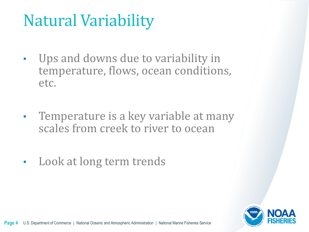# Natural Variability

- Ups and downs due to variability in temperature, flows, ocean conditions, etc.
- Temperature is a key variable at many scales from creek to river to ocean
- Look at long term trends

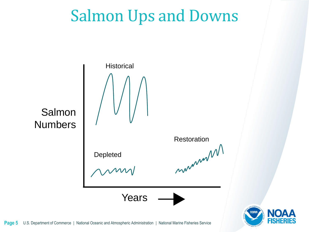### Salmon Ups and Downs

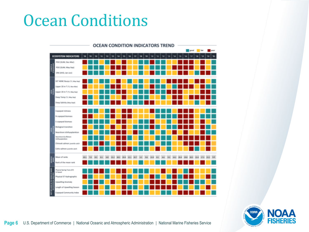### Ocean Conditions



**NOA NORA FISHER** 

**Page 6** U.S. Department of Commerce | National Oceanic and Atmospheric Administration | National Marine Fisheries Service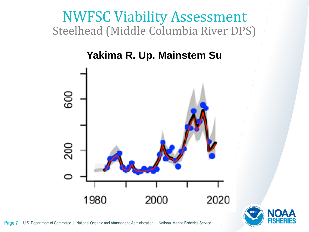#### Steelhead (Middle Columbia River DPS) NWFSC Viability Assessment

#### **Yakima R. Up. Mainstem Su**



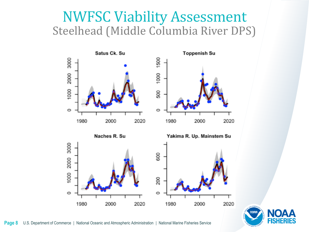#### Steelhead (Middle Columbia River DPS) NWFSC Viability Assessment



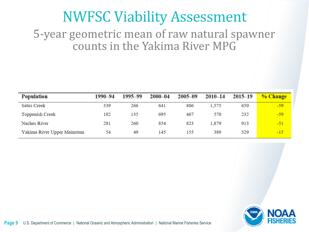#### NWFSC Viability Assessment

#### 5-year geometric mean of raw natural spawner counts in the Yakima River MPG

| Population                  | 1990-94 | 1995–99 | $2000 - 04$ | $2005 - 09$ | $2010 - 14$ | $2015 - 19$ | <b>% Change</b> |
|-----------------------------|---------|---------|-------------|-------------|-------------|-------------|-----------------|
| Satus Creek                 | 339     | 266     | 641         | 806         | 1,575       | 650         | $-59$           |
| Toppenish Creek             | 102     | 135     | 695         | 467         | 570         | 232         | $-59$           |
| Naches River                | 281     | 260     | 854         | 823         | 1,879       | 913         | $-51$           |
| Yakima River Upper Mainstem | 54      | 49      | 145         | 155         | 389         | 329         | $-15$           |

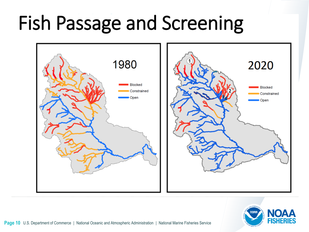# Fish Passage and Screening



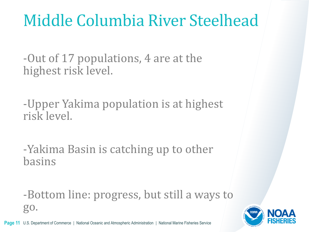## Middle Columbia River Steelhead

-Out of 17 populations, 4 are at the highest risk level.

-Upper Yakima population is at highest risk level.

-Yakima Basin is catching up to other basins

-Bottom line: progress, but still a ways to go.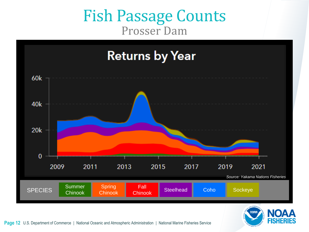#### Fish Passage Counts Prosser Dam



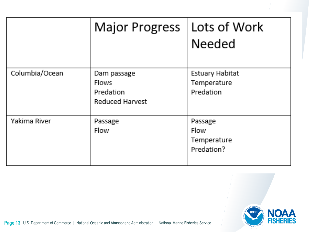|                | Major Progress                                              | Lots of Work<br><b>Needed</b>                       |
|----------------|-------------------------------------------------------------|-----------------------------------------------------|
| Columbia/Ocean | Dam passage<br><b>Flows</b><br>Predation<br>Reduced Harvest | Estuary Habitat<br>Temperature<br>Predation         |
| Yakima River   | Passage<br><b>Flow</b>                                      | Passage<br><b>Flow</b><br>Temperature<br>Predation? |

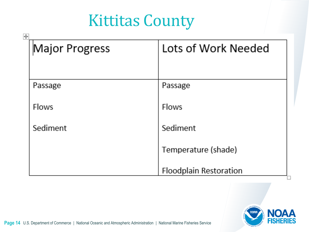#### Kittitas County

| 再<br>Major Progress | Lots of Work Needed           |
|---------------------|-------------------------------|
| Passage             | Passage                       |
| <b>Flows</b>        | <b>Flows</b>                  |
| Sediment            | Sediment                      |
|                     | Temperature (shade)           |
|                     | <b>Floodplain Restoration</b> |

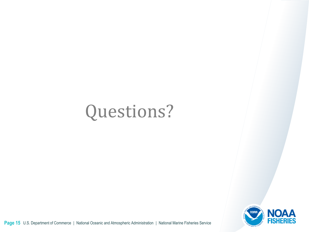# Questions?